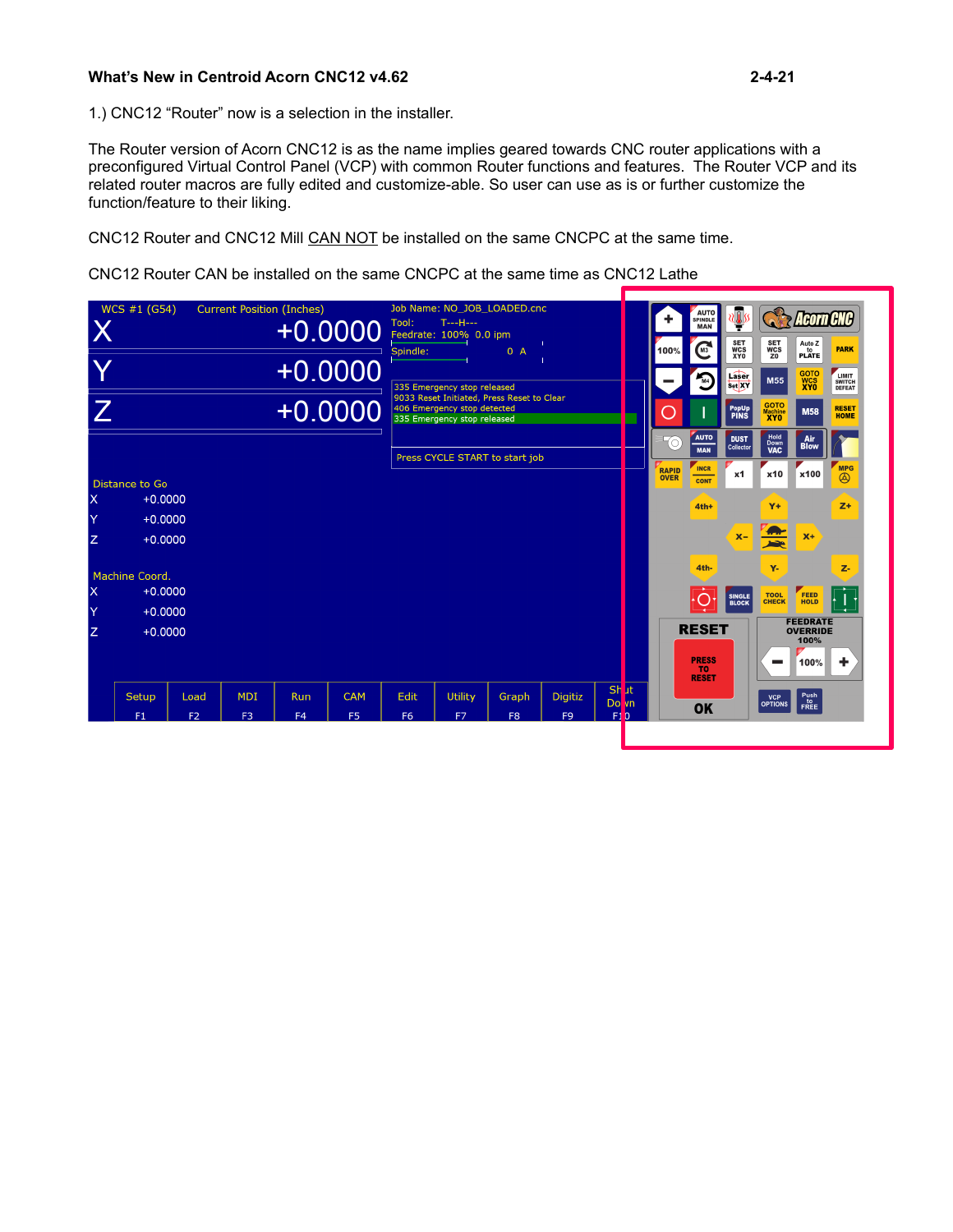# **What's New in Centroid Acorn CNC12 v4.62 2-4-21**

1.) CNC12 "Router" now is a selection in the installer.

The Router version of Acorn CNC12 is as the name implies geared towards CNC router applications with a preconfigured Virtual Control Panel (VCP) with common Router functions and features. The Router VCP and its related router macros are fully edited and customize-able. So user can use as is or further customize the function/feature to their liking.

CNC12 Router and CNC12 Mill CAN NOT be installed on the same CNCPC at the same time.

CNC12 Router CAN be installed on the same CNCPC at the same time as CNC12 Lathe

|                         | WCS #1 (G54)                |                | <b>Current Position (Inches)</b> |                | $+0.0000$      | Tool:<br>Spindle: | Job Name: NO JOB LOADED.cnc<br>$T = -H - -$<br>Feedrate: 100% 0.0 ipm                                    | 0A             |                |          |           | AUTO<br>SPINDLE<br><b>MAN</b><br>M <sup>3</sup><br>100%   | ≀ <mark>≬</mark> y<br><b>SET<br/>WCS</b> | <b>SET<br/>WCS</b>          | <b>Reorn CNC</b><br>Auto Z<br>P LATE       | <b>PARK</b>                              |
|-------------------------|-----------------------------|----------------|----------------------------------|----------------|----------------|-------------------|----------------------------------------------------------------------------------------------------------|----------------|----------------|----------|-----------|-----------------------------------------------------------|------------------------------------------|-----------------------------|--------------------------------------------|------------------------------------------|
|                         |                             |                |                                  |                | $+0.0000$      |                   | 335 Emergency stop released                                                                              |                |                |          |           | $\sqrt{M}$                                                | XY0<br>Laser<br>Set XY                   | Z <sub>0</sub><br>M55       | <b>GOTO</b><br>WCS<br>XYO                  | <b>LIMIT</b><br><b>SWITCH<br/>DEFEAT</b> |
| $\overline{Z}$          |                             |                |                                  |                | $+0.0000$      |                   | 9033 Reset Initiated, Press Reset to Clear<br>406 Emergency stop detected<br>335 Emergency stop released |                |                |          |           |                                                           | PopUp<br>PINS                            | GOTO<br>Machine<br>XYO      | <b>M58</b>                                 | <b>RESET</b><br><b>HOME</b>              |
|                         |                             |                |                                  |                |                |                   | Press CYCLE START to start job                                                                           |                |                |          |           | <b>AUTO</b><br>$\bigotimes$<br><b>MAN</b>                 | <b>DUST</b><br>Collector                 | Hold<br>Down<br><b>VAC</b>  | <b>Air</b><br><b>Blow</b>                  | <b>MPG</b>                               |
| $\overline{\mathsf{x}}$ | Distance to Go<br>$+0.0000$ |                |                                  |                |                |                   |                                                                                                          |                |                |          |           | <b>INCR</b><br><b>RAPID</b><br><b>OVER</b><br><b>CONT</b> | x1                                       | x10                         | x100                                       | $\circledR$                              |
| Y                       | $+0.0000$                   |                |                                  |                |                |                   |                                                                                                          |                |                |          |           | $4th+$                                                    |                                          | $Y +$                       |                                            | $Z+$                                     |
| Z                       | $+0.0000$                   |                |                                  |                |                |                   |                                                                                                          |                |                |          |           |                                                           | $X -$                                    | <u>Ar</u><br><b>Andre</b>   | $X+$                                       |                                          |
|                         | Machine Coord.              |                |                                  |                |                |                   |                                                                                                          |                |                |          |           | 4th-                                                      |                                          | Y-                          |                                            | z.                                       |
| X<br>Y                  | $+0.0000$<br>$+0.0000$      |                |                                  |                |                |                   |                                                                                                          |                |                |          |           |                                                           | <b>SINGLE</b><br><b>BLOCK</b>            | <b>TOOL</b><br><b>CHECK</b> | <b>FEED</b><br><b>HOLD</b>                 |                                          |
| z                       | $+0.0000$                   |                |                                  |                |                |                   |                                                                                                          |                |                |          |           | <b>RESET</b>                                              |                                          |                             | <b>FEEDRATE</b><br><b>OVERRIDE</b><br>100% |                                          |
|                         |                             |                |                                  |                |                |                   |                                                                                                          |                |                |          |           | <b>PRESS</b><br><b>TO</b><br><b>RESET</b>                 |                                          |                             | 100%                                       | ÷                                        |
|                         | <b>Setup</b>                | Load           | <b>MDI</b>                       | <b>Run</b>     | <b>CAM</b>     | <b>Edit</b>       | <b>Utility</b>                                                                                           | Graph          | <b>Digitiz</b> | Sh<br>Do | -lt<br>vn | <b>OK</b>                                                 |                                          | VCP<br>OPTIONS              | Push<br>FREE                               |                                          |
|                         | F1                          | F <sub>2</sub> | F <sub>3</sub>                   | F <sub>4</sub> | F <sub>5</sub> | F <sub>6</sub>    | F <sub>7</sub>                                                                                           | F <sub>8</sub> | F <sub>9</sub> | F1       | n         |                                                           |                                          |                             |                                            |                                          |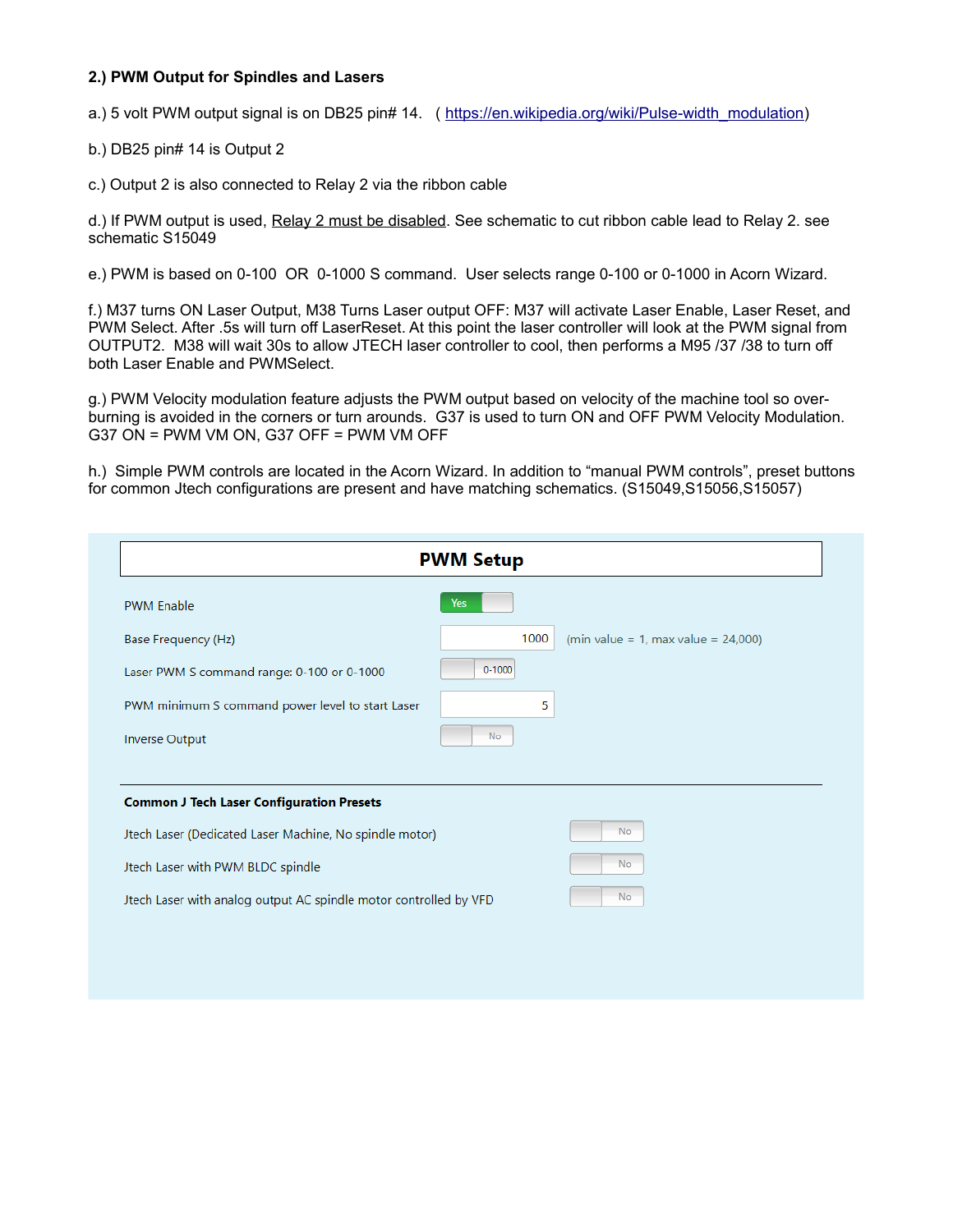## **2.) PWM Output for Spindles and Lasers**

a.) 5 volt PWM output signal is on DB25 pin# 14. ( [https://en.wikipedia.org/wiki/Pulse-width\\_modulation\)](https://en.wikipedia.org/wiki/Pulse-width_modulation)

b.) DB25 pin# 14 is Output 2

c.) Output 2 is also connected to Relay 2 via the ribbon cable

d.) If PWM output is used, Relay 2 must be disabled. See schematic to cut ribbon cable lead to Relay 2. see schematic S15049

e.) PWM is based on 0-100 OR 0-1000 S command. User selects range 0-100 or 0-1000 in Acorn Wizard.

f.) M37 turns ON Laser Output, M38 Turns Laser output OFF: M37 will activate Laser Enable, Laser Reset, and PWM Select. After .5s will turn off LaserReset. At this point the laser controller will look at the PWM signal from OUTPUT2. M38 will wait 30s to allow JTECH laser controller to cool, then performs a M95 /37 /38 to turn off both Laser Enable and PWMSelect.

g.) PWM Velocity modulation feature adjusts the PWM output based on velocity of the machine tool so overburning is avoided in the corners or turn arounds. G37 is used to turn ON and OFF PWM Velocity Modulation. G37 ON = PWM VM ON, G37 OFF = PWM VM OFF

h.) Simple PWM controls are located in the Acorn Wizard. In addition to "manual PWM controls", preset buttons for common Jtech configurations are present and have matching schematics. (S15049,S15056,S15057)

| <b>PWM Setup</b>                                                  |            |                                        |  |  |  |  |
|-------------------------------------------------------------------|------------|----------------------------------------|--|--|--|--|
| <b>PWM Enable</b>                                                 | Yes        |                                        |  |  |  |  |
| Base Frequency (Hz)                                               | 1000       | (min value = 1, max value = $24,000$ ) |  |  |  |  |
| Laser PWM S command range: 0-100 or 0-1000                        | $0 - 1000$ |                                        |  |  |  |  |
| PWM minimum S command power level to start Laser                  | 5          |                                        |  |  |  |  |
| <b>Inverse Output</b>                                             | <b>No</b>  |                                        |  |  |  |  |
|                                                                   |            |                                        |  |  |  |  |
| <b>Common J Tech Laser Configuration Presets</b>                  |            |                                        |  |  |  |  |
| Jtech Laser (Dedicated Laser Machine, No spindle motor)           | No         |                                        |  |  |  |  |
| Jtech Laser with PWM BLDC spindle                                 | No         |                                        |  |  |  |  |
| Jtech Laser with analog output AC spindle motor controlled by VFD | <b>No</b>  |                                        |  |  |  |  |
|                                                                   |            |                                        |  |  |  |  |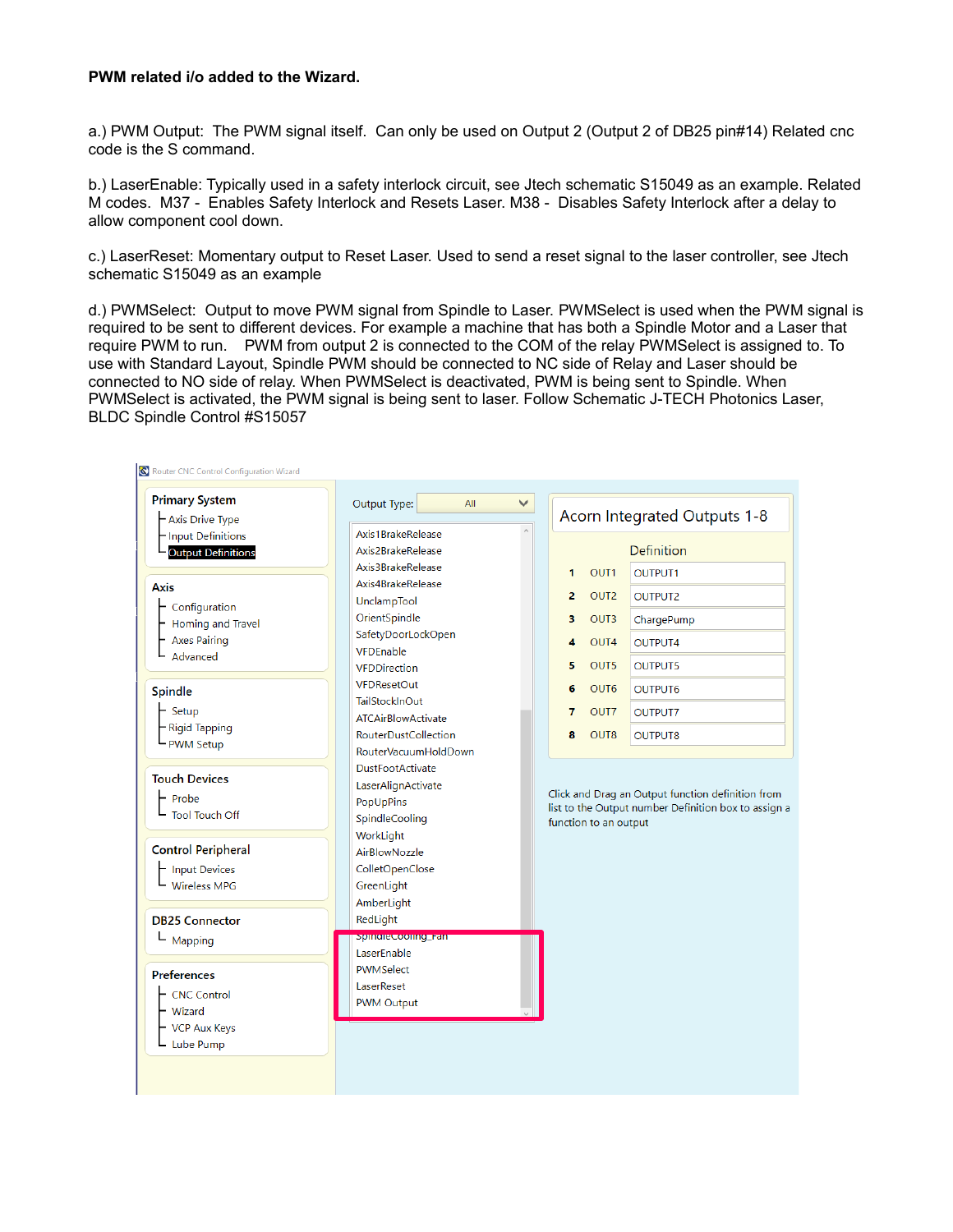### **PWM related i/o added to the Wizard.**

a.) PWM Output: The PWM signal itself. Can only be used on Output 2 (Output 2 of DB25 pin#14) Related cnc code is the S command.

b.) LaserEnable: Typically used in a safety interlock circuit, see Jtech schematic S15049 as an example. Related M codes. M37 - Enables Safety Interlock and Resets Laser. M38 - Disables Safety Interlock after a delay to allow component cool down.

c.) LaserReset: Momentary output to Reset Laser. Used to send a reset signal to the laser controller, see Jtech schematic S15049 as an example

d.) PWMSelect: Output to move PWM signal from Spindle to Laser. PWMSelect is used when the PWM signal is required to be sent to different devices. For example a machine that has both a Spindle Motor and a Laser that require PWM to run. PWM from output 2 is connected to the COM of the relay PWMSelect is assigned to. To use with Standard Layout, Spindle PWM should be connected to NC side of Relay and Laser should be connected to NO side of relay. When PWMSelect is deactivated, PWM is being sent to Spindle. When PWMSelect is activated, the PWM signal is being sent to laser. Follow Schematic J-TECH Photonics Laser, BLDC Spindle Control #S15057

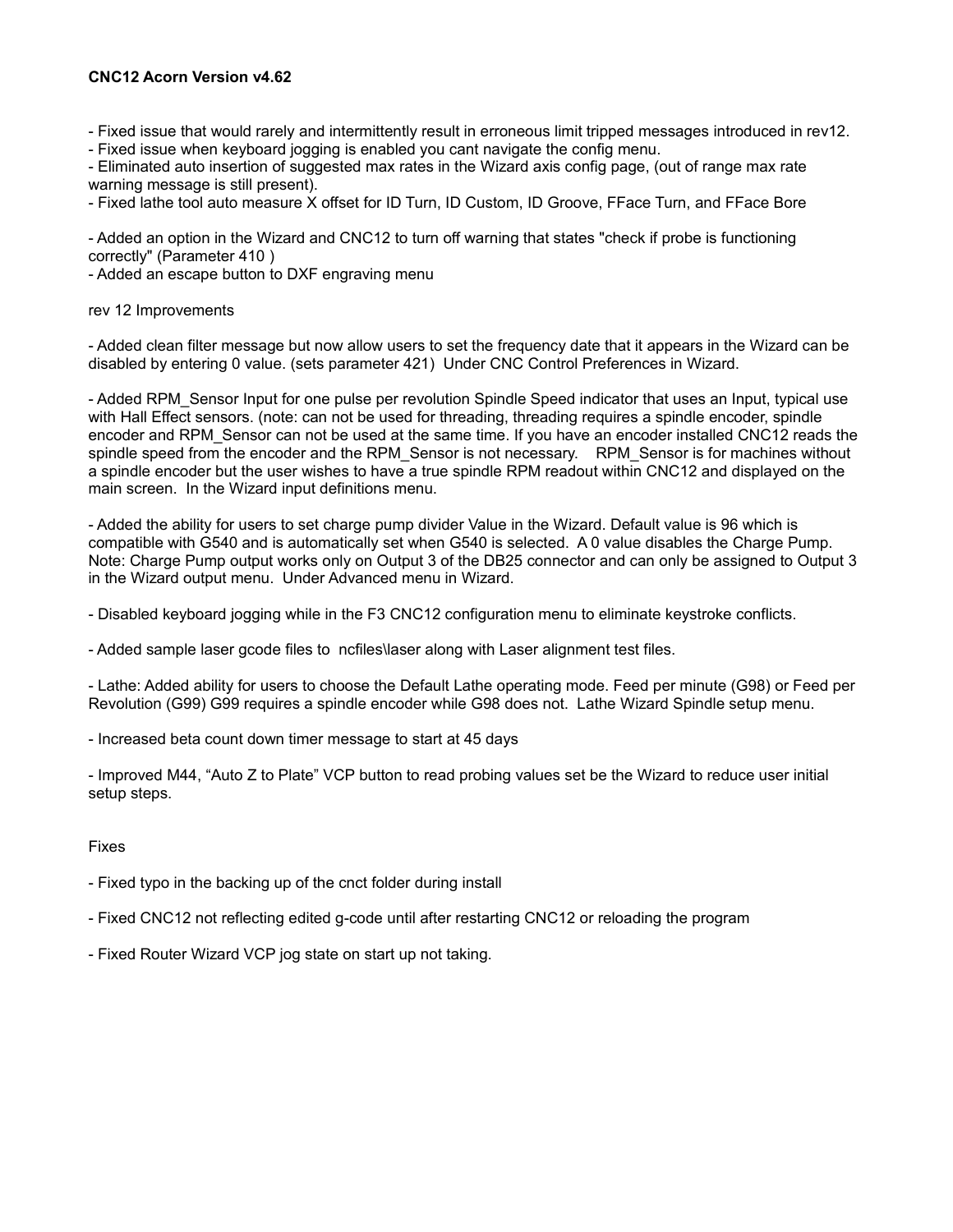## **CNC12 Acorn Version v4.62**

- Fixed issue that would rarely and intermittently result in erroneous limit tripped messages introduced in rev12.

- Fixed issue when keyboard jogging is enabled you cant navigate the config menu.

- Eliminated auto insertion of suggested max rates in the Wizard axis config page, (out of range max rate warning message is still present).

- Fixed lathe tool auto measure X offset for ID Turn, ID Custom, ID Groove, FFace Turn, and FFace Bore

- Added an option in the Wizard and CNC12 to turn off warning that states "check if probe is functioning correctly" (Parameter 410 )

- Added an escape button to DXF engraving menu

#### rev 12 Improvements

- Added clean filter message but now allow users to set the frequency date that it appears in the Wizard can be disabled by entering 0 value. (sets parameter 421) Under CNC Control Preferences in Wizard.

- Added RPM\_Sensor Input for one pulse per revolution Spindle Speed indicator that uses an Input, typical use with Hall Effect sensors. (note: can not be used for threading, threading requires a spindle encoder, spindle encoder and RPM\_Sensor can not be used at the same time. If you have an encoder installed CNC12 reads the spindle speed from the encoder and the RPM\_Sensor is not necessary. RPM\_Sensor is for machines without a spindle encoder but the user wishes to have a true spindle RPM readout within CNC12 and displayed on the main screen. In the Wizard input definitions menu.

- Added the ability for users to set charge pump divider Value in the Wizard. Default value is 96 which is compatible with G540 and is automatically set when G540 is selected. A 0 value disables the Charge Pump. Note: Charge Pump output works only on Output 3 of the DB25 connector and can only be assigned to Output 3 in the Wizard output menu. Under Advanced menu in Wizard.

- Disabled keyboard jogging while in the F3 CNC12 configuration menu to eliminate keystroke conflicts.

- Added sample laser gcode files to ncfiles\laser along with Laser alignment test files.

- Lathe: Added ability for users to choose the Default Lathe operating mode. Feed per minute (G98) or Feed per Revolution (G99) G99 requires a spindle encoder while G98 does not. Lathe Wizard Spindle setup menu.

- Increased beta count down timer message to start at 45 days

- Improved M44, "Auto Z to Plate" VCP button to read probing values set be the Wizard to reduce user initial setup steps.

#### Fixes

- Fixed typo in the backing up of the cnct folder during install

- Fixed CNC12 not reflecting edited g-code until after restarting CNC12 or reloading the program
- Fixed Router Wizard VCP jog state on start up not taking.